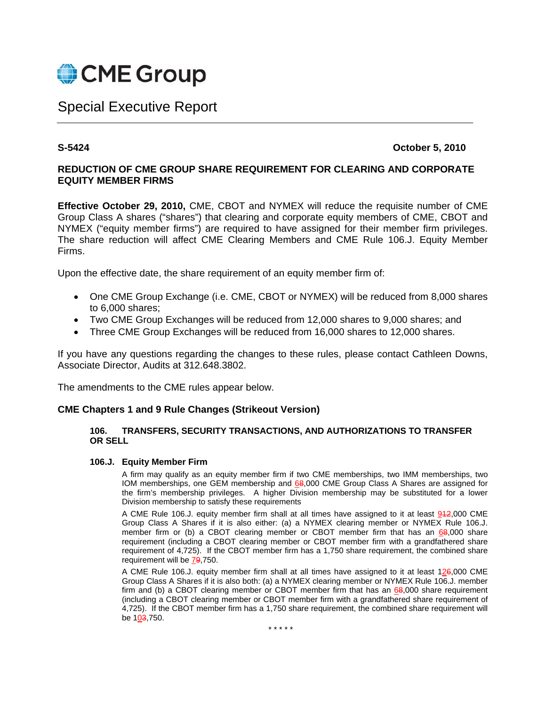

# Special Executive Report

# **S-5424 October 5, 2010**

# **REDUCTION OF CME GROUP SHARE REQUIREMENT FOR CLEARING AND CORPORATE EQUITY MEMBER FIRMS**

**Effective October 29, 2010,** CME, CBOT and NYMEX will reduce the requisite number of CME Group Class A shares ("shares") that clearing and corporate equity members of CME, CBOT and NYMEX ("equity member firms") are required to have assigned for their member firm privileges. The share reduction will affect CME Clearing Members and CME Rule 106.J. Equity Member Firms.

Upon the effective date, the share requirement of an equity member firm of:

- One CME Group Exchange (i.e. CME, CBOT or NYMEX) will be reduced from 8,000 shares to 6,000 shares;
- Two CME Group Exchanges will be reduced from 12,000 shares to 9,000 shares; and
- Three CME Group Exchanges will be reduced from 16,000 shares to 12,000 shares.

If you have any questions regarding the changes to these rules, please contact Cathleen Downs, Associate Director, Audits at 312.648.3802.

The amendments to the CME rules appear below.

### **CME Chapters 1 and 9 Rule Changes (Strikeout Version)**

#### **106. TRANSFERS, SECURITY TRANSACTIONS, AND AUTHORIZATIONS TO TRANSFER OR SELL**

#### **106.J. Equity Member Firm**

A firm may qualify as an equity member firm if two CME memberships, two IMM memberships, two IOM memberships, one GEM membership and 68,000 CME Group Class A Shares are assigned for the firm's membership privileges. A higher Division membership may be substituted for a lower Division membership to satisfy these requirements

A CME Rule 106.J. equity member firm shall at all times have assigned to it at least 942,000 CME Group Class A Shares if it is also either: (a) a NYMEX clearing member or NYMEX Rule 106.J. member firm or (b) a CBOT clearing member or CBOT member firm that has an  $68,000$  share requirement (including a CBOT clearing member or CBOT member firm with a grandfathered share requirement of 4,725). If the CBOT member firm has a 1,750 share requirement, the combined share requirement will be 79,750.

A CME Rule 106.J. equity member firm shall at all times have assigned to it at least 126,000 CME Group Class A Shares if it is also both: (a) a NYMEX clearing member or NYMEX Rule 106.J. member firm and (b) a CBOT clearing member or CBOT member firm that has an  $68,000$  share requirement (including a CBOT clearing member or CBOT member firm with a grandfathered share requirement of 4,725). If the CBOT member firm has a 1,750 share requirement, the combined share requirement will be 103,750.

\* \* \* \* \*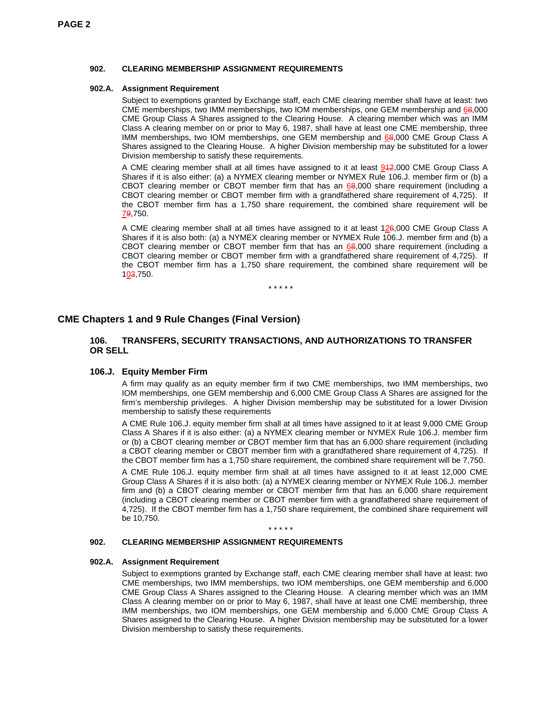#### **902. CLEARING MEMBERSHIP ASSIGNMENT REQUIREMENTS**

#### **902.A. Assignment Requirement**

Subject to exemptions granted by Exchange staff, each CME clearing member shall have at least: two CME memberships, two IMM memberships, two IOM memberships, one GEM membership and 68,000 CME Group Class A Shares assigned to the Clearing House. A clearing member which was an IMM Class A clearing member on or prior to May 6, 1987, shall have at least one CME membership, three IMM memberships, two IOM memberships, one GEM membership and 68,000 CME Group Class A Shares assigned to the Clearing House. A higher Division membership may be substituted for a lower Division membership to satisfy these requirements.

A CME clearing member shall at all times have assigned to it at least 942,000 CME Group Class A Shares if it is also either: (a) a NYMEX clearing member or NYMEX Rule 106.J. member firm or (b) a CBOT clearing member or CBOT member firm that has an 68,000 share requirement (including a CBOT clearing member or CBOT member firm with a grandfathered share requirement of 4,725). If the CBOT member firm has a 1,750 share requirement, the combined share requirement will be 79,750.

A CME clearing member shall at all times have assigned to it at least 126,000 CME Group Class A Shares if it is also both: (a) a NYMEX clearing member or NYMEX Rule 106.J. member firm and (b) a CBOT clearing member or CBOT member firm that has an 68,000 share requirement (including a CBOT clearing member or CBOT member firm with a grandfathered share requirement of 4,725). If the CBOT member firm has a 1,750 share requirement, the combined share requirement will be 103,750.

\* \* \* \* \*

## **CME Chapters 1 and 9 Rule Changes (Final Version)**

#### **106. TRANSFERS, SECURITY TRANSACTIONS, AND AUTHORIZATIONS TO TRANSFER OR SELL**

#### **106.J. Equity Member Firm**

A firm may qualify as an equity member firm if two CME memberships, two IMM memberships, two IOM memberships, one GEM membership and 6,000 CME Group Class A Shares are assigned for the firm's membership privileges. A higher Division membership may be substituted for a lower Division membership to satisfy these requirements

A CME Rule 106.J. equity member firm shall at all times have assigned to it at least 9,000 CME Group Class A Shares if it is also either: (a) a NYMEX clearing member or NYMEX Rule 106.J. member firm or (b) a CBOT clearing member or CBOT member firm that has an 6,000 share requirement (including a CBOT clearing member or CBOT member firm with a grandfathered share requirement of 4,725). If the CBOT member firm has a 1,750 share requirement, the combined share requirement will be 7,750.

A CME Rule 106.J. equity member firm shall at all times have assigned to it at least 12,000 CME Group Class A Shares if it is also both: (a) a NYMEX clearing member or NYMEX Rule 106.J. member firm and (b) a CBOT clearing member or CBOT member firm that has an 6,000 share requirement (including a CBOT clearing member or CBOT member firm with a grandfathered share requirement of 4,725). If the CBOT member firm has a 1,750 share requirement, the combined share requirement will be 10,750.

\* \* \* \* \*

#### **902. CLEARING MEMBERSHIP ASSIGNMENT REQUIREMENTS**

#### **902.A. Assignment Requirement**

Subject to exemptions granted by Exchange staff, each CME clearing member shall have at least: two CME memberships, two IMM memberships, two IOM memberships, one GEM membership and 6,000 CME Group Class A Shares assigned to the Clearing House. A clearing member which was an IMM Class A clearing member on or prior to May 6, 1987, shall have at least one CME membership, three IMM memberships, two IOM memberships, one GEM membership and 6,000 CME Group Class A Shares assigned to the Clearing House. A higher Division membership may be substituted for a lower Division membership to satisfy these requirements.